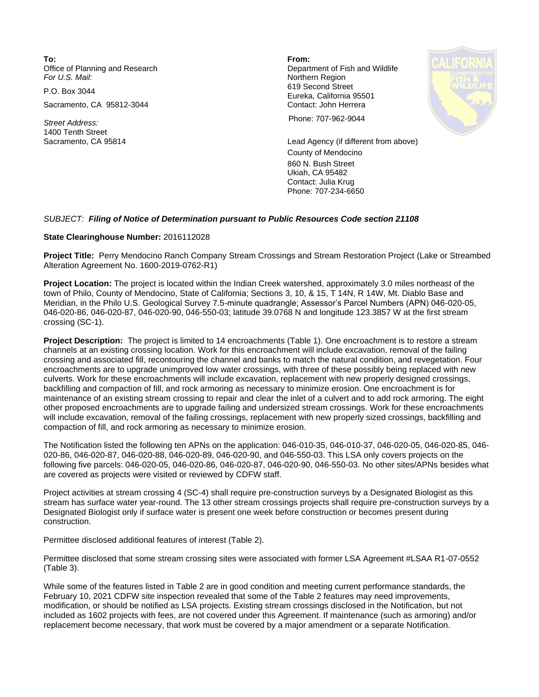**To: From:**  Office of Planning and Research **Department of Fish and Wildlife**<br>
For U.S. Mail: **Department of Fish and Wildlife** 

Sacramento, CA 95812-3044 Contact: John Herrera

1400 Tenth Street

**Northern Region** P.O. Box 3044 619 Second Street Eureka, California 95501



*Street Address:* Phone: 707-962-9044

Sacramento, CA 95814 Lead Agency (if different from above) County of Mendocino 860 N. Bush Street Ukiah, CA 95482 Contact: Julia Krug Phone: 707-234-6650

## *SUBJECT: Filing of Notice of Determination pursuant to Public Resources Code section 21108*

## **State Clearinghouse Number:** 2016112028

**Project Title:** Perry Mendocino Ranch Company Stream Crossings and Stream Restoration Project (Lake or Streambed Alteration Agreement No. 1600-2019-0762-R1)

**Project Location:** The project is located within the Indian Creek watershed, approximately 3.0 miles northeast of the town of Philo, County of Mendocino, State of California; Sections 3, 10, & 15, T 14N, R 14W, Mt. Diablo Base and Meridian, in the Philo U.S. Geological Survey 7.5-minute quadrangle; Assessor's Parcel Numbers (APN) 046-020-05, 046-020-86, 046-020-87, 046-020-90, 046-550-03; latitude 39.0768 N and longitude 123.3857 W at the first stream crossing (SC-1).

**Project Description:** The project is limited to 14 encroachments (Table 1). One encroachment is to restore a stream channels at an existing crossing location. Work for this encroachment will include excavation, removal of the failing crossing and associated fill, recontouring the channel and banks to match the natural condition, and revegetation. Four encroachments are to upgrade unimproved low water crossings, with three of these possibly being replaced with new culverts. Work for these encroachments will include excavation, replacement with new properly designed crossings, backfilling and compaction of fill, and rock armoring as necessary to minimize erosion. One encroachment is for maintenance of an existing stream crossing to repair and clear the inlet of a culvert and to add rock armoring. The eight other proposed encroachments are to upgrade failing and undersized stream crossings. Work for these encroachments will include excavation, removal of the failing crossings, replacement with new properly sized crossings, backfilling and compaction of fill, and rock armoring as necessary to minimize erosion.

The Notification listed the following ten APNs on the application: 046-010-35, 046-010-37, 046-020-05, 046-020-85, 046- 020-86, 046-020-87, 046-020-88, 046-020-89, 046-020-90, and 046-550-03. This LSA only covers projects on the following five parcels: 046-020-05, 046-020-86, 046-020-87, 046-020-90, 046-550-03. No other sites/APNs besides what are covered as projects were visited or reviewed by CDFW staff.

Project activities at stream crossing 4 (SC-4) shall require pre-construction surveys by a Designated Biologist as this stream has surface water year-round. The 13 other stream crossings projects shall require pre-construction surveys by a Designated Biologist only if surface water is present one week before construction or becomes present during construction.

Permittee disclosed additional features of interest (Table 2).

Permittee disclosed that some stream crossing sites were associated with former LSA Agreement #LSAA R1-07-0552 (Table 3).

While some of the features listed in Table 2 are in good condition and meeting current performance standards, the February 10, 2021 CDFW site inspection revealed that some of the Table 2 features may need improvements, modification, or should be notified as LSA projects. Existing stream crossings disclosed in the Notification, but not included as 1602 projects with fees, are not covered under this Agreement. If maintenance (such as armoring) and/or replacement become necessary, that work must be covered by a major amendment or a separate Notification.